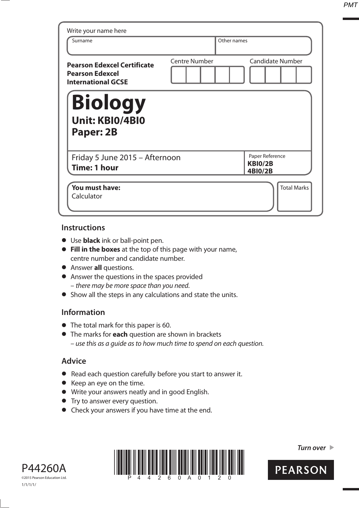*PMT*

| Write your name here                                                                      |                      |                                                     |
|-------------------------------------------------------------------------------------------|----------------------|-----------------------------------------------------|
| Surname                                                                                   |                      | Other names                                         |
| <b>Pearson Edexcel Certificate</b><br><b>Pearson Edexcel</b><br><b>International GCSE</b> | <b>Centre Number</b> | <b>Candidate Number</b>                             |
| <b>Biology</b><br><b>Unit: KBI0/4BI0</b><br>Paper: 2B                                     |                      |                                                     |
| Friday 5 June 2015 - Afternoon<br><b>Time: 1 hour</b>                                     |                      | Paper Reference<br><b>KBI0/2B</b><br><b>4BI0/2B</b> |
| You must have:<br>Calculator                                                              |                      | <b>Total Marks</b>                                  |

#### **Instructions**

- **t** Use **black** ink or ball-point pen.
- **Fill in the boxes** at the top of this page with your name, centre number and candidate number.
- **•** Answer **all** questions.
- **•** Answer the questions in the spaces provided – there may be more space than you need.
- **•** Show all the steps in any calculations and state the units.

## **Information**

- **•** The total mark for this paper is 60.
- **t** The marks for **each** question are shown in brackets – use this as a guide as to how much time to spend on each question.

## **Advice**

- **t** Read each question carefully before you start to answer it.
- **t** Keep an eye on the time.
- **t** Write your answers neatly and in good English.
- **•** Try to answer every question.
- **•** Check your answers if you have time at the end.





*Turn over* 

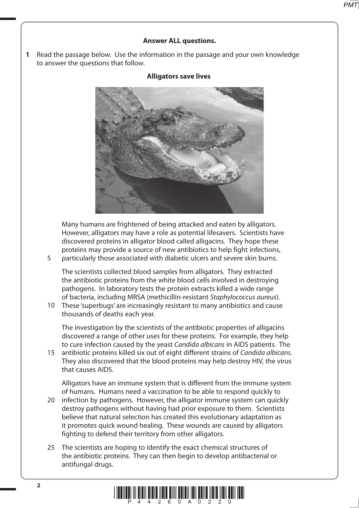# **Answer ALL questions.**

**1** Read the passage below. Use the information in the passage and your own knowledge to answer the questions that follow.



# **Alligators save lives**

Many humans are frightened of being attacked and eaten by alligators. However, alligators may have a role as potential lifesavers. Scientists have discovered proteins in alligator blood called alligacins. They hope these proteins may provide a source of new antibiotics to help fight infections, particularly those associated with diabetic ulcers and severe skin burns.

The scientists collected blood samples from alligators. They extracted the antibiotic proteins from the white blood cells involved in destroying pathogens. In laboratory tests the protein extracts killed a wide range of bacteria, including MRSA (methicillin-resistant Staphylococcus aureus).

10 These 'superbugs' are increasingly resistant to many antibiotics and cause thousands of deaths each year.

The investigation by the scientists of the antibiotic properties of alligacins discovered a range of other uses for these proteins. For example, they help to cure infection caused by the yeast Candida albicans in AIDS patients. The

15 antibiotic proteins killed six out of eight different strains of Candida albicans. They also discovered that the blood proteins may help destroy HIV, the virus that causes AIDS.

Alligators have an immune system that is different from the immune system of humans. Humans need a vaccination to be able to respond quickly to

- 20 infection by pathogens. However, the alligator immune system can quickly destroy pathogens without having had prior exposure to them. Scientists believe that natural selection has created this evolutionary adaptation as it promotes quick wound healing. These wounds are caused by alligators fighting to defend their territory from other alligators.
- 25 The scientists are hoping to identify the exact chemical structures of the antibiotic proteins. They can then begin to develop antibacterial or antifungal drugs.



5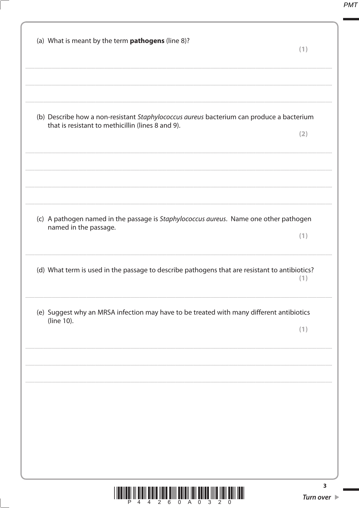PMT

| (a) What is meant by the term <b>pathogens</b> (line 8)?                                                                                      | (1)                             |
|-----------------------------------------------------------------------------------------------------------------------------------------------|---------------------------------|
| (b) Describe how a non-resistant Staphylococcus aureus bacterium can produce a bacterium<br>that is resistant to methicillin (lines 8 and 9). | (2)                             |
| (c) A pathogen named in the passage is Staphylococcus aureus. Name one other pathogen<br>named in the passage.                                | (1)                             |
| (d) What term is used in the passage to describe pathogens that are resistant to antibiotics?                                                 | (1)                             |
| (e) Suggest why an MRSA infection may have to be treated with many different antibiotics<br>(line 10).                                        | (1)                             |
|                                                                                                                                               |                                 |
|                                                                                                                                               |                                 |
|                                                                                                                                               | Turn over $\blacktriangleright$ |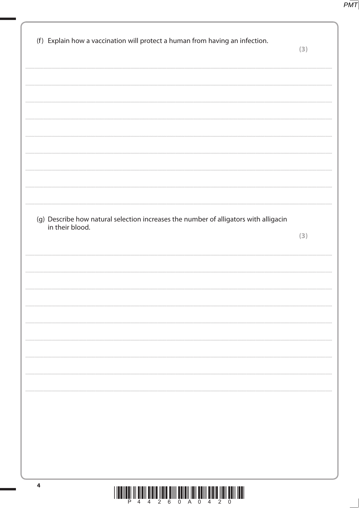$P\overline{MT}$ 

| (f) Explain how a vaccination will protect a human from having an infection.                            | (3) |
|---------------------------------------------------------------------------------------------------------|-----|
|                                                                                                         |     |
|                                                                                                         |     |
|                                                                                                         |     |
|                                                                                                         |     |
|                                                                                                         |     |
| (g) Describe how natural selection increases the number of alligators with alligacin<br>in their blood. | (3) |
|                                                                                                         |     |
|                                                                                                         |     |
|                                                                                                         |     |
|                                                                                                         |     |
|                                                                                                         |     |
|                                                                                                         |     |
|                                                                                                         |     |
| 4<br><u>I INNIJANI III MINIJ KININ IININ MIIII MUHAJI INII HUIII MININ IINII HUII INNIJ</u>             |     |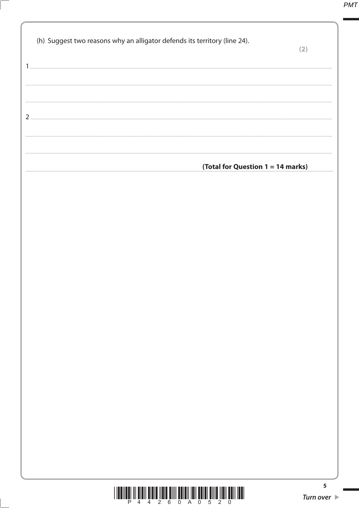| (h) Suggest two reasons why an alligator defends its territory (line 24). | (2)                                  |
|---------------------------------------------------------------------------|--------------------------------------|
|                                                                           |                                      |
|                                                                           |                                      |
|                                                                           |                                      |
|                                                                           |                                      |
| (Total for Question 1 = 14 marks)                                         |                                      |
|                                                                           |                                      |
|                                                                           |                                      |
|                                                                           |                                      |
|                                                                           |                                      |
|                                                                           |                                      |
|                                                                           |                                      |
|                                                                           |                                      |
|                                                                           |                                      |
|                                                                           |                                      |
|                                                                           |                                      |
|                                                                           |                                      |
|                                                                           |                                      |
|                                                                           |                                      |
|                                                                           | 5<br>Turn over $\blacktriangleright$ |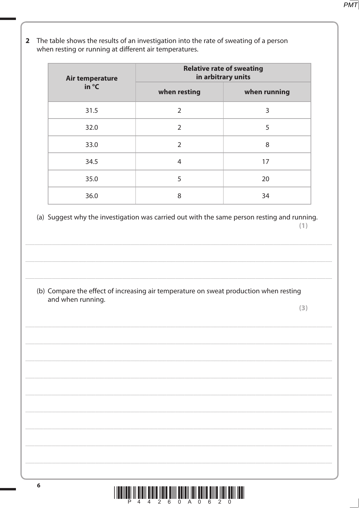2 The table shows the results of an investigation into the rate of sweating of a person when resting or running at different air temperatures.

| Air temperature | <b>Relative rate of sweating</b><br>in arbitrary units |              |
|-----------------|--------------------------------------------------------|--------------|
| in $\mathrm{C}$ | when resting                                           | when running |
| 31.5            | $\overline{2}$                                         | 3            |
| 32.0            | $\overline{2}$                                         | 5            |
| 33.0            | $\overline{2}$                                         | 8            |
| 34.5            | $\overline{4}$                                         | 17           |
| 35.0            | 5                                                      | 20           |
| 36.0            | 8                                                      | 34           |

(a) Suggest why the investigation was carried out with the same person resting and running.  $(1)$ 

(b) Compare the effect of increasing air temperature on sweat production when resting and when running.

 $(3)$ 

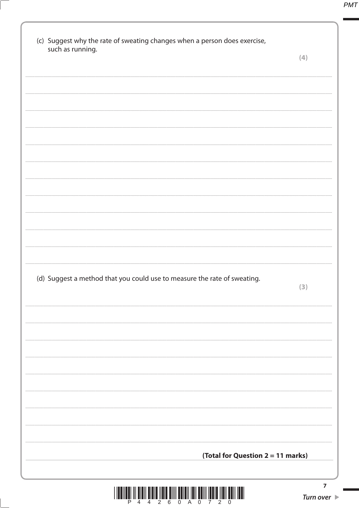| such as running.                                                         | (4) |
|--------------------------------------------------------------------------|-----|
|                                                                          |     |
|                                                                          |     |
|                                                                          |     |
|                                                                          |     |
|                                                                          |     |
|                                                                          |     |
|                                                                          |     |
|                                                                          |     |
|                                                                          |     |
|                                                                          |     |
|                                                                          |     |
|                                                                          |     |
|                                                                          |     |
|                                                                          |     |
|                                                                          |     |
| (d) Suggest a method that you could use to measure the rate of sweating. | (3) |
|                                                                          |     |
|                                                                          |     |
|                                                                          |     |
|                                                                          |     |
|                                                                          |     |
|                                                                          |     |
|                                                                          |     |
|                                                                          |     |
|                                                                          |     |
|                                                                          |     |
|                                                                          |     |
| (Total for Question 2 = 11 marks)                                        |     |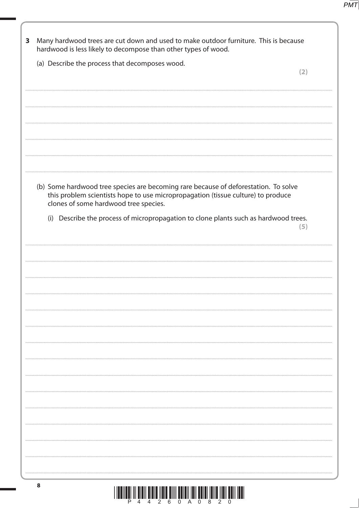| 3 | Many hardwood trees are cut down and used to make outdoor furniture. This is because<br>hardwood is less likely to decompose than other types of wood.                                                           |     |  |
|---|------------------------------------------------------------------------------------------------------------------------------------------------------------------------------------------------------------------|-----|--|
|   | (a) Describe the process that decomposes wood.                                                                                                                                                                   | (2) |  |
|   |                                                                                                                                                                                                                  |     |  |
|   |                                                                                                                                                                                                                  |     |  |
|   |                                                                                                                                                                                                                  |     |  |
|   | (b) Some hardwood tree species are becoming rare because of deforestation. To solve<br>this problem scientists hope to use micropropagation (tissue culture) to produce<br>clones of some hardwood tree species. |     |  |
|   | (i) Describe the process of micropropagation to clone plants such as hardwood trees.                                                                                                                             | (5) |  |
|   |                                                                                                                                                                                                                  |     |  |
|   |                                                                                                                                                                                                                  |     |  |
|   |                                                                                                                                                                                                                  |     |  |
|   |                                                                                                                                                                                                                  |     |  |
|   |                                                                                                                                                                                                                  |     |  |
|   |                                                                                                                                                                                                                  |     |  |
|   |                                                                                                                                                                                                                  |     |  |
|   |                                                                                                                                                                                                                  |     |  |
|   | 8                                                                                                                                                                                                                |     |  |

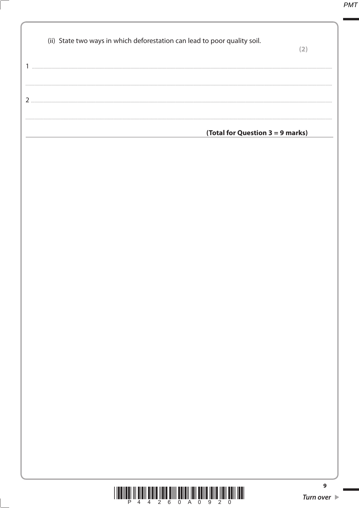| (ii) State two ways in which deforestation can lead to poor quality soil.                                                      | (2)                             |
|--------------------------------------------------------------------------------------------------------------------------------|---------------------------------|
| 1                                                                                                                              |                                 |
| $2$                                                                                                                            |                                 |
| (Total for Question 3 = 9 marks)                                                                                               |                                 |
|                                                                                                                                |                                 |
|                                                                                                                                |                                 |
|                                                                                                                                |                                 |
|                                                                                                                                |                                 |
|                                                                                                                                |                                 |
|                                                                                                                                |                                 |
|                                                                                                                                |                                 |
|                                                                                                                                |                                 |
|                                                                                                                                | 9                               |
| <u> III ANDI III AND AND AN AND AN AND AN AND AN AN AN</u><br>$\overline{P}$<br>$2 -$<br>6<br>0 A 0 9<br>$2 \quad 0$<br>4<br>4 | Turn over $\blacktriangleright$ |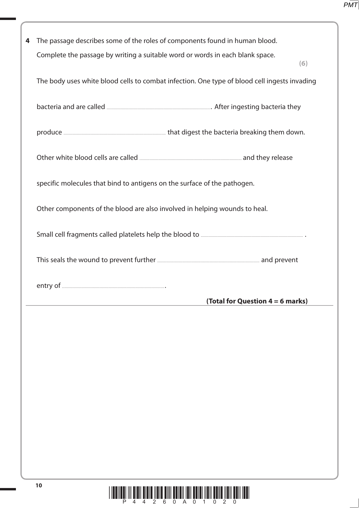| 4 | The passage describes some of the roles of components found in human blood.                  |
|---|----------------------------------------------------------------------------------------------|
|   | Complete the passage by writing a suitable word or words in each blank space.<br>(6)         |
|   | The body uses white blood cells to combat infection. One type of blood cell ingests invading |
|   |                                                                                              |
|   |                                                                                              |
|   |                                                                                              |
|   | specific molecules that bind to antigens on the surface of the pathogen.                     |
|   | Other components of the blood are also involved in helping wounds to heal.                   |
|   |                                                                                              |
|   |                                                                                              |
|   |                                                                                              |
|   | (Total for Question $4 = 6$ marks)                                                           |
|   |                                                                                              |
|   |                                                                                              |
|   |                                                                                              |
|   |                                                                                              |
|   |                                                                                              |
|   |                                                                                              |
|   |                                                                                              |
|   | <b>10</b>                                                                                    |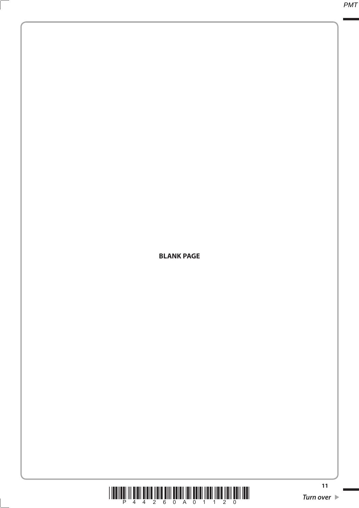

 $\frac{1}{2}$   $\frac{1}{4}$   $\frac{1}{4}$   $\frac{1}{2}$   $\frac{1}{6}$   $\frac{1}{6}$   $\frac{1}{0}$   $\frac{1}{4}$   $\frac{1}{2}$   $\frac{1}{6}$   $\frac{1}{0}$   $\frac{1}{4}$   $\frac{1}{2}$   $\frac{1}{2}$   $\frac{1}{6}$   $\frac{1}{1}$   $\frac{1}{2}$   $\frac{1}{2}$   $\frac{1}{6}$   $\frac{1}{1}$   $\frac{1}{2}$   $\frac{1}{6}$ 

**BLANK PAGE**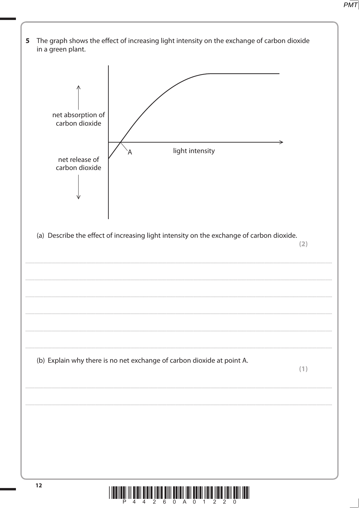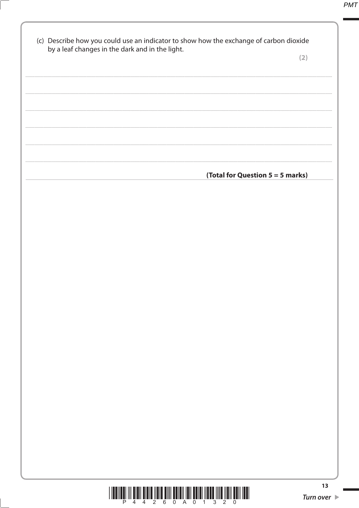(c) Describe how you could use an indicator to show how the exchange of carbon dioxide by a leaf changes in the dark and in the light.  $(2)$ (Total for Question 5 = 5 marks)  $13$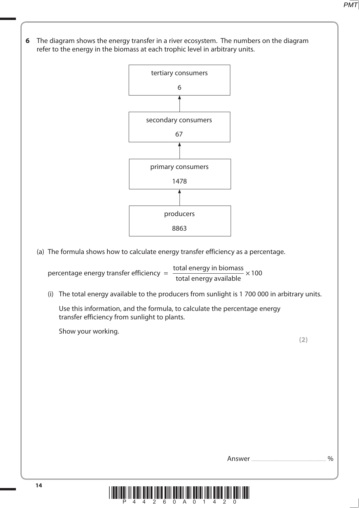**6** The diagram shows the energy transfer in a river ecosystem. The numbers on the diagram refer to the energy in the biomass at each trophic level in arbitrary units.



(a) The formula shows how to calculate energy transfer efficiency as a percentage.

percentage energy transfer efficiency  $=$ total energy available  $\times$  100

(i) The total energy available to the producers from sunlight is 1 700 000 in arbitrary units.

 Use this information, and the formula, to calculate the percentage energy transfer efficiency from sunlight to plants.

Show your working.

**(2)**

| Answer |  |  |
|--------|--|--|
|--------|--|--|

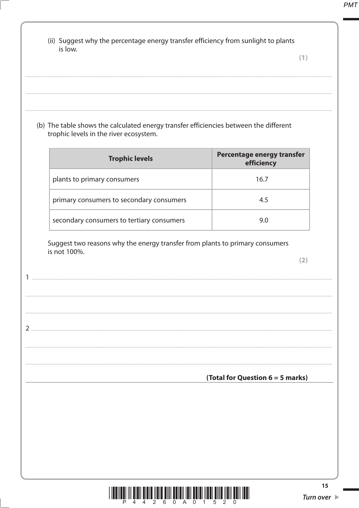(ii) Suggest why the percentage energy transfer efficiency from sunlight to plants is low.  $(1)$ (b) The table shows the calculated energy transfer efficiencies between the different trophic levels in the river ecosystem. Percentage energy transfer **Trophic levels** efficiency plants to primary consumers 16.7 primary consumers to secondary consumers 4.5 secondary consumers to tertiary consumers  $9.0$ Suggest two reasons why the energy transfer from plants to primary consumers is not 100%.  $(2)$ (Total for Question 6 = 5 marks)

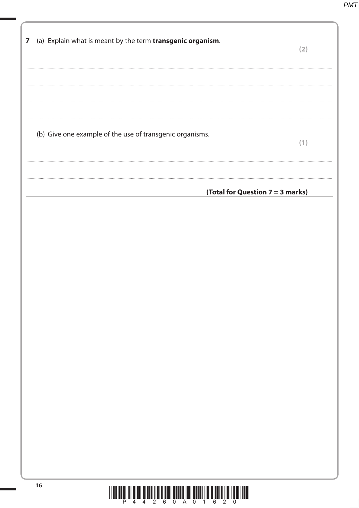$PMT$ 

| (a) Explain what is meant by the term transgenic organism.<br>$\overline{\mathbf{z}}$ | (2) |
|---------------------------------------------------------------------------------------|-----|
|                                                                                       |     |
| (b) Give one example of the use of transgenic organisms.                              | (1) |
| (Total for Question 7 = 3 marks)                                                      |     |
|                                                                                       |     |
|                                                                                       |     |
|                                                                                       |     |
|                                                                                       |     |
|                                                                                       |     |
|                                                                                       |     |
|                                                                                       |     |
| 16                                                                                    |     |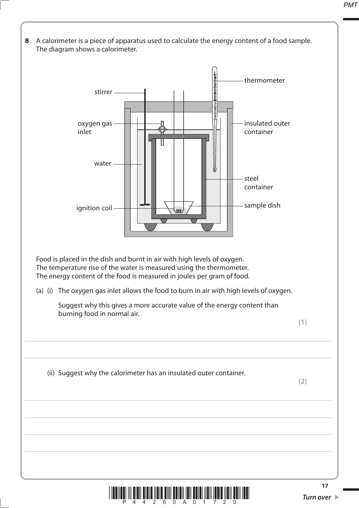

4 2 6 0 A 0 1 7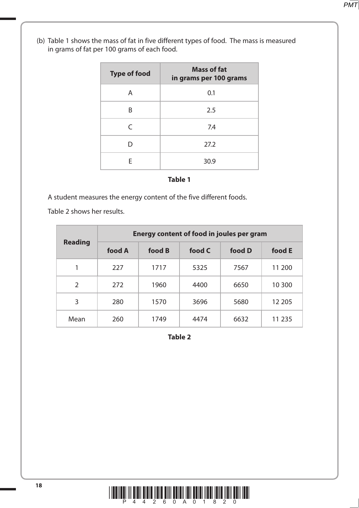(b) Table 1 shows the mass of fat in five different types of food. The mass is measured in grams of fat per 100 grams of each food.

| <b>Mass of fat</b><br>in grams per 100 grams |
|----------------------------------------------|
| 0.1                                          |
| 2.5                                          |
| 7.4                                          |
| 27.2                                         |
| 30.9                                         |
|                                              |

#### **Table 1**

A student measures the energy content of the five different foods.

Table 2 shows her results.

| <b>Reading</b> | Energy content of food in joules per gram |        |        |        |        |
|----------------|-------------------------------------------|--------|--------|--------|--------|
|                | food A                                    | food B | food C | food D | food E |
|                | 227                                       | 1717   | 5325   | 7567   | 11 200 |
| 2              | 272                                       | 1960   | 4400   | 6650   | 10 300 |
| 3              | 280                                       | 1570   | 3696   | 5680   | 12 205 |
| Mean           | 260                                       | 1749   | 4474   | 6632   | 11 235 |

**Table 2**

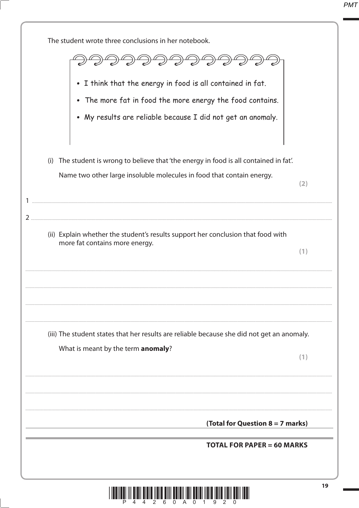| The student wrote three conclusions in her notebook.<br>• I think that the energy in food is all contained in fat.                      |
|-----------------------------------------------------------------------------------------------------------------------------------------|
| • The more fat in food the more energy the food contains.                                                                               |
| • My results are reliable because I did not get an anomaly.                                                                             |
| The student is wrong to believe that 'the energy in food is all contained in fat'.<br>(i)                                               |
| Name two other large insoluble molecules in food that contain energy.<br>(2)                                                            |
| (ii) Explain whether the student's results support her conclusion that food with<br>more fat contains more energy.<br>(1)               |
| (iii) The student states that her results are reliable because she did not get an anomaly.<br>What is meant by the term anomaly?<br>(1) |
| (Total for Question $8 = 7$ marks)                                                                                                      |
| <b>TOTAL FOR PAPER = 60 MARKS</b>                                                                                                       |
| 19<br><u>FILMIN DIRI ILI DALI TILI DI SINJETI ILI DI SINJETI ILI DI SINJETI ILI DI SINJETI ILI DI SINJETI ILI DI SINJE</u>              |